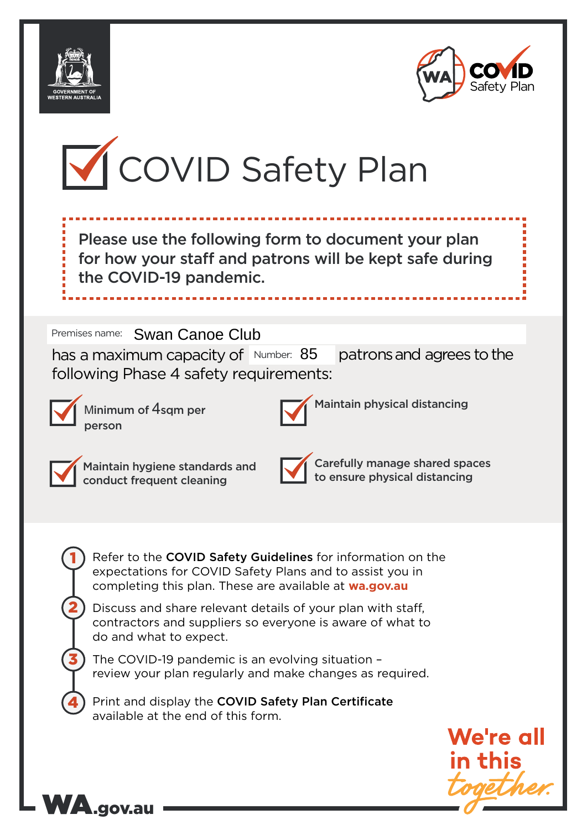





Please use the following form to document your plan for how your staff and patrons will be kept safe during the COVID-19 pandemic.

Premises name: Swan Canoe Club

has a maximum capacity of Number: 85 patrons and agrees to the following Phase 4 safety requirements:



Minimum of 4sqm per person

WA.gov.au



Maintain physical distancing



1

2

3

4

Maintain hygiene standards and conduct frequent cleaning

Carefully manage shared spaces to ensure physical distancing

Refer to the COVID Safety Guidelines for information on the expectations for COVID Safety Plans and to assist you in completing this plan. These are available at **wa.gov.au**

Discuss and share relevant details of your plan with staff, contractors and suppliers so everyone is aware of what to do and what to expect.

The COVID-19 pandemic is an evolving situation – review your plan regularly and make changes as required.

Print and display the COVID Safety Plan Certificate available at the end of this form.

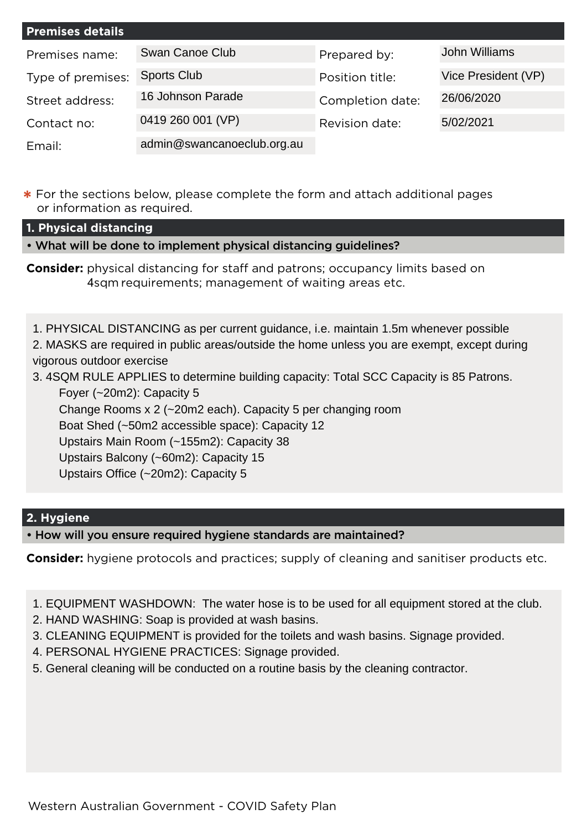| <b>Premises details</b> |                            |                  |                     |
|-------------------------|----------------------------|------------------|---------------------|
| Premises name:          | Swan Canoe Club            | Prepared by:     | John Williams       |
| Type of premises:       | <b>Sports Club</b>         | Position title:  | Vice President (VP) |
| Street address:         | 16 Johnson Parade          | Completion date: | 26/06/2020          |
| Contact no:             | 0419 260 001 (VP)          | Revision date:   | 5/02/2021           |
| Email:                  | admin@swancanoeclub.org.au |                  |                     |

**\*** For the sections below, please complete the form and attach additional pages or information as required.

**1. Physical distancing**

• What will be done to implement physical distancing guidelines?

**Consider:** physical distancing for staff and patrons; occupancy limits based on 4sqm requirements; management of waiting areas etc.

1. PHYSICAL DISTANCING as per current guidance, i.e. maintain 1.5m whenever possible 2. MASKS are required in public areas/outside the home unless you are exempt, except during

vigorous outdoor exercise

3. 4SQM RULE APPLIES to determine building capacity: Total SCC Capacity is 85 Patrons. Foyer (~20m2): Capacity 5

Change Rooms x 2 (~20m2 each). Capacity 5 per changing room

Boat Shed (~50m2 accessible space): Capacity 12

Upstairs Main Room (~155m2): Capacity 38

Upstairs Balcony (~60m2): Capacity 15

Upstairs Office (~20m2): Capacity 5

# **2. Hygiene**

• How will you ensure required hygiene standards are maintained?

**Consider:** hygiene protocols and practices; supply of cleaning and sanitiser products etc.

1. EQUIPMENT WASHDOWN: The water hose is to be used for all equipment stored at the club.

2. HAND WASHING: Soap is provided at wash basins.

3. CLEANING EQUIPMENT is provided for the toilets and wash basins. Signage provided.

4. PERSONAL HYGIENE PRACTICES: Signage provided.

5. General cleaning will be conducted on a routine basis by the cleaning contractor.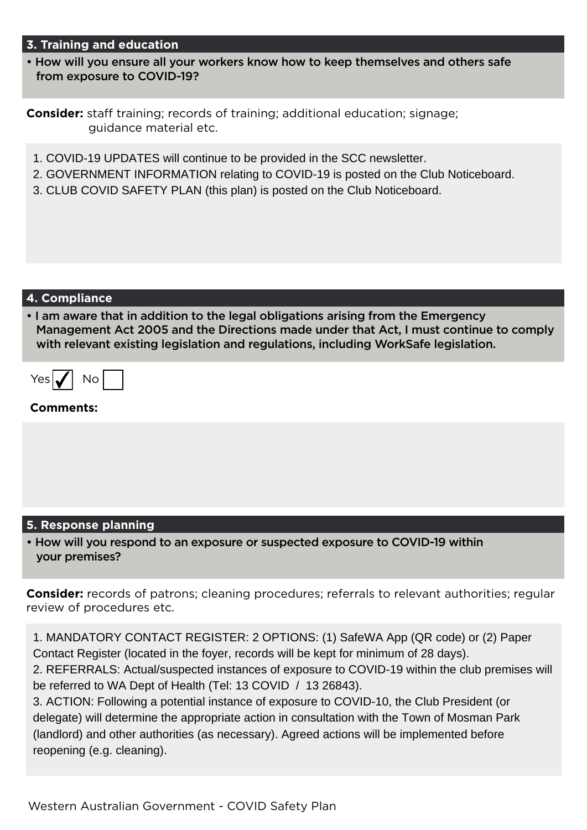# **3. Training and education**

• How will you ensure all your workers know how to keep themselves and others safe from exposure to COVID-19?

**Consider:** staff training; records of training; additional education; signage; guidance material etc.

- 1. COVID-19 UPDATES will continue to be provided in the SCC newsletter.
- 2. GOVERNMENT INFORMATION relating to COVID-19 is posted on the Club Noticeboard.
- 3. CLUB COVID SAFETY PLAN (this plan) is posted on the Club Noticeboard.

## **4. Compliance**

• I am aware that in addition to the legal obligations arising from the Emergency Management Act 2005 and the Directions made under that Act, I must continue to comply with relevant existing legislation and regulations, including WorkSafe legislation.

| ، جد ، | '' |  |
|--------|----|--|
|        |    |  |

## **Comments:**

# **5. Response planning**

• How will you respond to an exposure or suspected exposure to COVID-19 within your premises?

**Consider:** records of patrons; cleaning procedures; referrals to relevant authorities; regular review of procedures etc.

1. MANDATORY CONTACT REGISTER: 2 OPTIONS: (1) SafeWA App (QR code) or (2) Paper Contact Register (located in the foyer, records will be kept for minimum of 28 days).

2. REFERRALS: Actual/suspected instances of exposure to COVID-19 within the club premises will be referred to WA Dept of Health (Tel: 13 COVID / 13 26843).

3. ACTION: Following a potential instance of exposure to COVID-10, the Club President (or delegate) will determine the appropriate action in consultation with the Town of Mosman Park (landlord) and other authorities (as necessary). Agreed actions will be implemented before reopening (e.g. cleaning).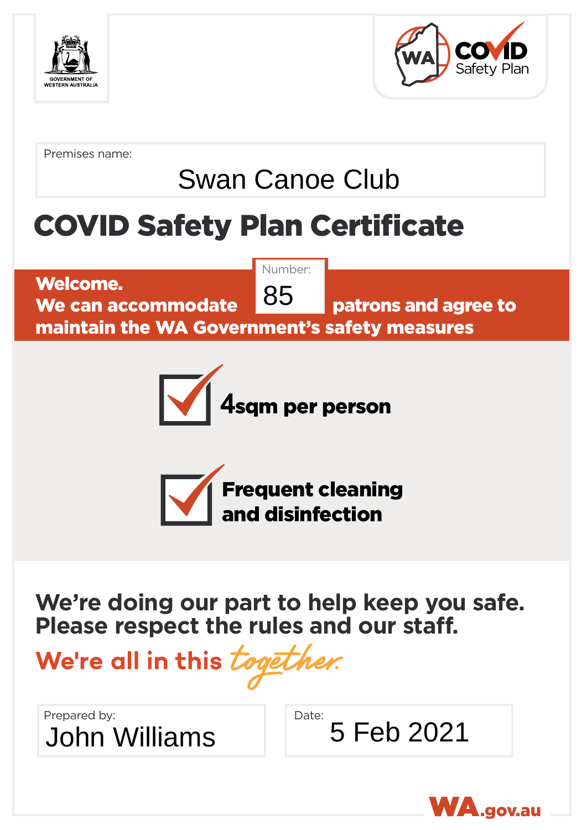



Premises name:

# Swan Canoe Club

# COVID Safety Plan Certificate

Welcome. We can accommodate **POP** patrons and agree to

Number: 85

maintain the WA Government's safety measures





**We're doing our part to help keep you safe. Please respect the rules and our staff.**

We're all in this togeth

Prepared by: John Williams 5 Feb 2021

Date: